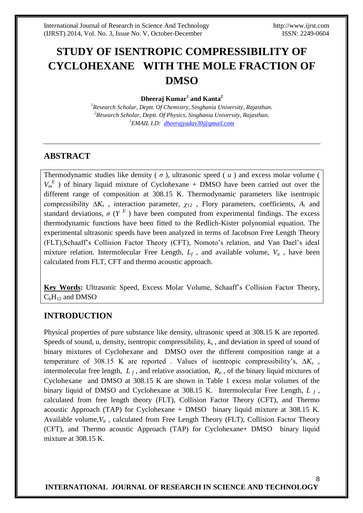8

# **STUDY OF ISENTROPIC COMPRESSIBILITY OF CYCLOHEXANE WITH THE MOLE FRACTION OF DMSO**

#### **Dheeraj Kumar<sup>1</sup> and Kanta<sup>2</sup>**

*<sup>1</sup>Research Scholar, Deptt. Of Chemistry, Singhania University, Rajasthan. <sup>2</sup>Research Scholar, Deptt. Of Physics, Singhania University, Rajasthan. <sup>1</sup>EMAIL I.D: [dheerajyadav30@gmail.com](mailto:dheerajyadav30@gmail.com)*

#### **ABSTRACT**

Thermodynamic studies like density  $(\sigma)$ , ultrasonic speed  $(u)$  and excess molar volume (  $V_m^E$ ) of binary liquid mixture of Cyclohexane + DMSO have been carried out over the different range of composition at 308.15 K. Thermodynamic parameters like isentropic compressibility ∆*K<sup>s</sup>* , interaction parameter, *χ*<sup>12</sup> , Flory parameters, coefficients, *A<sup>i</sup>* and standard deviations,  $\sigma$  ( $Y^E$ ) have been computed from experimental findings. The excess thermodynamic functions have been fitted to the Redlich-Kister polynomial equation. The experimental ultrasonic speeds have been analyzed in terms of Jacobson Free Length Theory (FLT),Schaaff's Collision Factor Theory (CFT), Nomoto's relation, and Van Dael's ideal mixture relation. Intermolecular Free Length,  $L_f$ , and available volume,  $V_a$ , have been calculated from FLT, CFT and thermo acoustic approach.

**Key Words:** Ultrasonic Speed, Excess Molar Volume, Schaaff's Collision Factor Theory,  $C_6H_{12}$  and DMSO

# **INTRODUCTION**

Physical properties of pure substance like density, ultrasonic speed at 308.15 K are reported. Speeds of sound, u, density, isentropic compressibility, *k<sup>s</sup>* , and deviation in speed of sound of binary mixtures of Cyclohexane and DMSO over the different composition range at a temperature of 308.15 K are reported . Values of isentropic compressibility's, ∆*K<sup>s</sup>* , intermolecular free length,  $L_f$ , and relative association,  $R_a$ , of the binary liquid mixtures of Cyclohexane and DMSO at 308.15 K are shown in Table 1 excess molar volumes of the binary liquid of DMSO and Cyclohexane at 308.15 K. Intermolecular Free Length, *L <sup>f</sup>* , calculated from free length theory (FLT), Collision Factor Theory (CFT), and Thermo acoustic Approach (TAP) for Cyclohexane + DMSO binary liquid mixture at 308.15 K. Available volume, $V_a$ , calculated from Free Length Theory (FLT), Collision Factor Theory (CFT), and Thermo acoustic Approach (TAP) for Cyclohexane+ DMSO binary liquid mixture at 308.15 K.

#### **INTERNATIONAL JOURNAL OF RESEARCH IN SCIENCE AND TECHNOLOGY**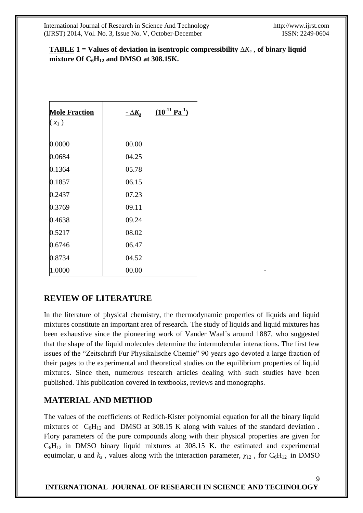9

# **TABLE 1** = Values of deviation in isentropic compressibility  $\Delta K_s$ , of binary liquid **mixture Of**  $C_6H_{12}$  **and DMSO at 308.15K.**

| <b>Mole Fraction</b> | $-\Delta K_s$ | $(10^{-11} \text{ Pa}^{-1})$ |
|----------------------|---------------|------------------------------|
| $(x_1)$              |               |                              |
|                      |               |                              |
| 0.0000               | 00.00         |                              |
| 0.0684               | 04.25         |                              |
| 0.1364               | 05.78         |                              |
| 0.1857               | 06.15         |                              |
| 0.2437               | 07.23         |                              |
| 0.3769               | 09.11         |                              |
| 0.4638               | 09.24         |                              |
| 0.5217               | 08.02         |                              |
| 0.6746               | 06.47         |                              |
| 0.8734               | 04.52         |                              |
| 1.0000               | 00.00         |                              |

# **REVIEW OF LITERATURE**

In the literature of physical chemistry, the thermodynamic properties of liquids and liquid mixtures constitute an important area of research. The study of liquids and liquid mixtures has been exhaustive since the pioneering work of Vander Waal`s around 1887, who suggested that the shape of the liquid molecules determine the intermolecular interactions. The first few issues of the "Zeitschrift Fur Physikalische Chemie" 90 years ago devoted a large fraction of their pages to the experimental and theoretical studies on the equilibrium properties of liquid mixtures. Since then, numerous research articles dealing with such studies have been published. This publication covered in textbooks, reviews and monographs.

# **MATERIAL AND METHOD**

The values of the coefficients of Redlich-Kister polynomial equation for all the binary liquid mixtures of  $C_6H_{12}$  and DMSO at 308.15 K along with values of the standard deviation. Flory parameters of the pure compounds along with their physical properties are given for  $C_6H_{12}$  in DMSO binary liquid mixtures at 308.15 K. the estimated and experimental equimolar, u and  $k_s$ , values along with the interaction parameter,  $\chi_{12}$ , for C<sub>6</sub>H<sub>12</sub> in DMSO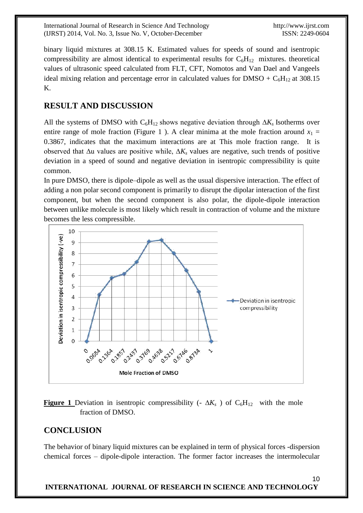International Journal of Research in Science And Technology http://www.ijrst.com (IJRST) 2014, Vol. No. 3, Issue No. V, October-December ISSN: 2249-0604

binary liquid mixtures at 308.15 K. Estimated values for speeds of sound and isentropic compressibility are almost identical to experimental results for  $C_6H_{12}$  mixtures. theoretical values of ultrasonic speed calculated from FLT, CFT, Nomotos and Van Dael and Vangeels ideal mixing relation and percentage error in calculated values for DMSO +  $C_6H_{12}$  at 308.15 K.

# **RESULT AND DISCUSSION**

All the systems of DMSO with C6H12 shows negative deviation through ∆*K<sup>s</sup>* Isotherms over entire range of mole fraction (Figure 1). A clear minima at the mole fraction around  $x_1 =$ 0.3867, indicates that the maximum interactions are at This mole fraction range. It is observed that ∆u values are positive while, ∆*K<sup>s</sup>* values are negative, such trends of positive deviation in a speed of sound and negative deviation in isentropic compressibility is quite common.

In pure DMSO, there is dipole–dipole as well as the usual dispersive interaction. The effect of adding a non polar second component is primarily to disrupt the dipolar interaction of the first component, but when the second component is also polar, the dipole-dipole interaction between unlike molecule is most likely which result in contraction of volume and the mixture becomes the less compressible.



**Figure 1** Deviation in isentropic compressibility (-  $\Delta K_s$ ) of C<sub>6</sub>H<sub>12</sub> with the mole fraction of DMSO.

# **CONCLUSION**

The behavior of binary liquid mixtures can be explained in term of physical forces -dispersion chemical forces – dipole-dipole interaction. The former factor increases the intermolecular

#### 10 **INTERNATIONAL JOURNAL OF RESEARCH IN SCIENCE AND TECHNOLOGY**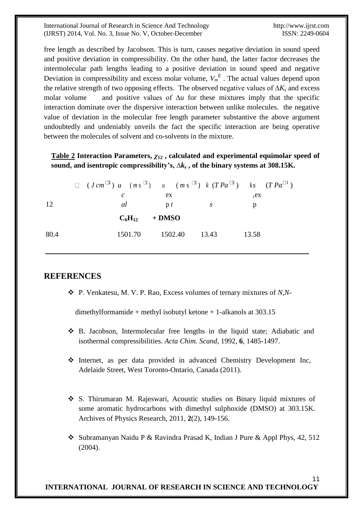International Journal of Research in Science And Technology http://www.ijrst.com (IJRST) 2014, Vol. No. 3, Issue No. V, October-December ISSN: 2249-0604

11

free length as described by Jacobson. This is turn, causes negative deviation in sound speed and positive deviation in compressibility. On the other hand, the latter factor decreases the intermolecular path lengths leading to a positive deviation in sound speed and negative Deviation in compressibility and excess molar volume,  $V_m^E$ . The actual values depend upon the relative strength of two opposing effects. The observed negative values of ∆*K<sup>s</sup>* and excess molar volume and positive values of ∆*u* for these mixtures imply that the specific interaction dominate over the dispersive interaction between unlike molecules. the negative value of deviation in the molecular free length parameter substantive the above argument undoubtedly and undeniably unveils the fact the specific interaction are being operative between the molecules of solvent and co-solvents in the mixture.

#### **Table 2 Interaction Parameters,** *χ***<sup>12</sup> , calculated and experimental equimolar speed of sound, and isentropic compressibility's, ∆***k<sup>s</sup>* **, of the binary systems at 308.15K.**

|      | $\Box$ $(J \, cm^{\Box}) u$ $(m s^{\Box}) u$ $(m s^{\Box}) k (T P a^{\Box}) k s$ $(T P a^{\Box})$ |                |                       |       |  |
|------|---------------------------------------------------------------------------------------------------|----------------|-----------------------|-------|--|
|      | C                                                                                                 | ex.            |                       | ,ex   |  |
| 12   | al                                                                                                | $\mathbf{p} t$ | $\mathcal{S}$         |       |  |
|      | $C_6H_{12}$ + DMSO                                                                                |                |                       |       |  |
| 80.4 |                                                                                                   |                | 1501.70 1502.40 13.43 | 13.58 |  |

#### **REFERENCES**

P. Venkatesu, M. V. P. Rao, Excess volumes of ternary mixtures of *N,N*-

dimethylformamide + methyl isobutyl ketone + 1-alkanols at 303.15

- B. Jacobson, Intermolecular free lengths in the liquid state; Adiabatic and isothermal compressibilities. *Acta Chim. Scand*, 1992, **6**, 1485-1497.
- Internet, as per data provided in advanced Chemistry Development Inc, Adelaide Street, West Toronto-Ontario, Canada (2011).
- S. Thirumaran M. Rajeswari, Acoustic studies on Binary liquid mixtures of some aromatic hydrocarbons with dimethyl sulphoxide (DMSO) at 303.15K. Archives of Physics Research, 2011, **2**(2), 149-156.
- Subramanyan Naidu P & Ravindra Prasad K, Indian J Pure & Appl Phys, 42, 512 (2004).